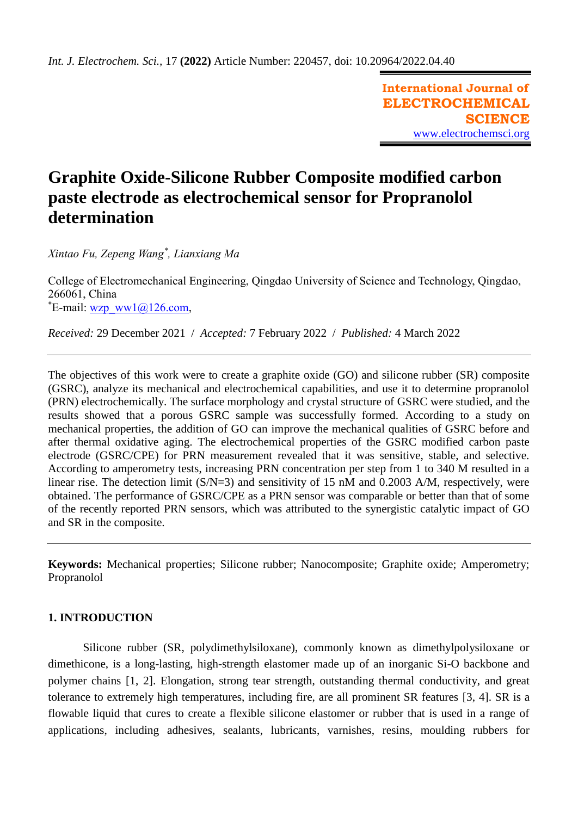**International Journal of ELECTROCHEMICAL SCIENCE** [www.electrochemsci.org](http://www.electrochemsci.org/)

# **Graphite Oxide-Silicone Rubber Composite modified carbon paste electrode as electrochemical sensor for Propranolol determination**

*Xintao Fu, Zepeng Wang\* , Lianxiang Ma*

College of Electromechanical Engineering, Qingdao University of Science and Technology, Qingdao, 266061, China  $E$ -mail: [wzp\\_ww1@126.com,](mailto:wzp_ww1@126.com)

*Received:* 29 December 2021/ *Accepted:* 7 February 2022 / *Published:* 4 March 2022

The objectives of this work were to create a graphite oxide (GO) and silicone rubber (SR) composite (GSRC), analyze its mechanical and electrochemical capabilities, and use it to determine propranolol (PRN) electrochemically. The surface morphology and crystal structure of GSRC were studied, and the results showed that a porous GSRC sample was successfully formed. According to a study on mechanical properties, the addition of GO can improve the mechanical qualities of GSRC before and after thermal oxidative aging. The electrochemical properties of the GSRC modified carbon paste electrode (GSRC/CPE) for PRN measurement revealed that it was sensitive, stable, and selective. According to amperometry tests, increasing PRN concentration per step from 1 to 340 M resulted in a linear rise. The detection limit (S/N=3) and sensitivity of 15 nM and 0.2003 A/M, respectively, were obtained. The performance of GSRC/CPE as a PRN sensor was comparable or better than that of some of the recently reported PRN sensors, which was attributed to the synergistic catalytic impact of GO and SR in the composite.

**Keywords:** Mechanical properties; Silicone rubber; Nanocomposite; Graphite oxide; Amperometry; Propranolol

## **1. INTRODUCTION**

Silicone rubber (SR, polydimethylsiloxane), commonly known as dimethylpolysiloxane or dimethicone, is a long-lasting, high-strength elastomer made up of an inorganic Si-O backbone and polymer chains [\[1,](#page-8-0) [2\]](#page-8-1). Elongation, strong tear strength, outstanding thermal conductivity, and great tolerance to extremely high temperatures, including fire, are all prominent SR features [\[3,](#page-8-2) [4\]](#page-8-3). SR is a flowable liquid that cures to create a flexible silicone elastomer or rubber that is used in a range of applications, including adhesives, sealants, lubricants, varnishes, resins, moulding rubbers for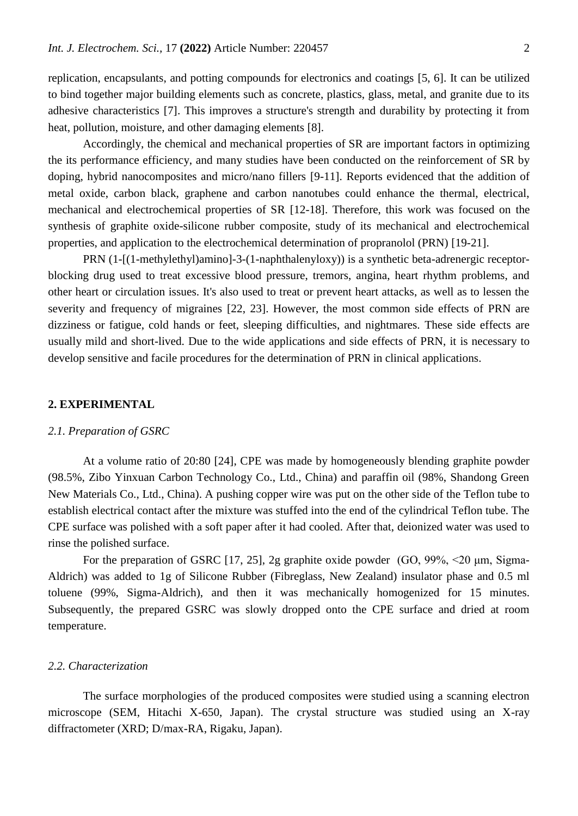replication, encapsulants, and potting compounds for electronics and coatings [\[5,](#page-8-4) [6\]](#page-8-5). It can be utilized to bind together major building elements such as concrete, plastics, glass, metal, and granite due to its adhesive characteristics [\[7\]](#page-8-6). This improves a structure's strength and durability by protecting it from heat, pollution, moisture, and other damaging elements [\[8\]](#page-8-7).

Accordingly, the chemical and mechanical properties of SR are important factors in optimizing the its performance efficiency, and many studies have been conducted on the reinforcement of SR by doping, hybrid nanocomposites and micro/nano fillers [\[9-11\]](#page-8-8). Reports evidenced that the addition of metal oxide, carbon black, graphene and carbon nanotubes could enhance the thermal, electrical, mechanical and electrochemical properties of SR [\[12-18\]](#page-8-9). Therefore, this work was focused on the synthesis of graphite oxide-silicone rubber composite, study of its mechanical and electrochemical properties, and application to the electrochemical determination of propranolol (PRN) [\[19-21\]](#page-8-10).

PRN (1-[(1-methylethyl)amino]-3-(1-naphthalenyloxy)) is a synthetic beta-adrenergic receptorblocking drug used to treat excessive blood pressure, tremors, angina, heart rhythm problems, and other heart or circulation issues. It's also used to treat or prevent heart attacks, as well as to lessen the severity and frequency of migraines [\[22,](#page-8-11) [23\]](#page-8-12). However, the most common side effects of PRN are dizziness or fatigue, cold hands or feet, sleeping difficulties, and nightmares. These side effects are usually mild and short-lived. Due to the wide applications and side effects of PRN, it is necessary to develop sensitive and facile procedures for the determination of PRN in clinical applications.

#### **2. EXPERIMENTAL**

#### *2.1. Preparation of GSRC*

At a volume ratio of 20:80 [\[24\]](#page-9-0), CPE was made by homogeneously blending graphite powder (98.5%, Zibo Yinxuan Carbon Technology Co., Ltd., China) and paraffin oil (98%, Shandong Green New Materials Co., Ltd., China). A pushing copper wire was put on the other side of the Teflon tube to establish electrical contact after the mixture was stuffed into the end of the cylindrical Teflon tube. The CPE surface was polished with a soft paper after it had cooled. After that, deionized water was used to rinse the polished surface.

For the preparation of GSRC [\[17,](#page-8-13) [25\]](#page-9-1), 2g graphite oxide powder (GO, 99%, <20 μm, Sigma-Aldrich) was added to 1g of Silicone Rubber (Fibreglass, New Zealand) insulator phase and 0.5 ml toluene (99%, Sigma-Aldrich), and then it was mechanically homogenized for 15 minutes. Subsequently, the prepared GSRC was slowly dropped onto the CPE surface and dried at room temperature.

#### *2.2. Characterization*

The surface morphologies of the produced composites were studied using a scanning electron microscope (SEM, Hitachi X-650, Japan). The crystal structure was studied using an X-ray diffractometer (XRD; D/max-RA, Rigaku, Japan).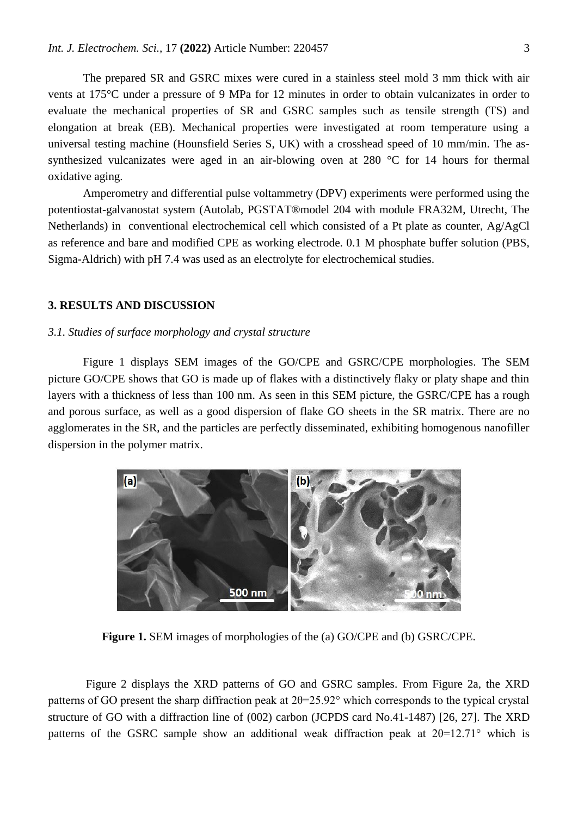The prepared SR and GSRC mixes were cured in a stainless steel mold 3 mm thick with air vents at 175°C under a pressure of 9 MPa for 12 minutes in order to obtain vulcanizates in order to evaluate the mechanical properties of SR and GSRC samples such as tensile strength (TS) and elongation at break (EB). Mechanical properties were investigated at room temperature using a universal testing machine (Hounsfield Series S, UK) with a crosshead speed of 10 mm/min. The assynthesized vulcanizates were aged in an air-blowing oven at 280 °C for 14 hours for thermal oxidative aging.

Amperometry and differential pulse voltammetry (DPV) experiments were performed using the potentiostat-galvanostat system (Autolab, PGSTAT®model 204 with module FRA32M, Utrecht, The Netherlands) in conventional electrochemical cell which consisted of a Pt plate as counter, Ag/AgCl as reference and bare and modified CPE as working electrode. 0.1 M phosphate buffer solution (PBS, Sigma-Aldrich) with pH 7.4 was used as an electrolyte for electrochemical studies.

#### **3. RESULTS AND DISCUSSION**

## *3.1. Studies of surface morphology and crystal structure*

Figure 1 displays SEM images of the GO/CPE and GSRC/CPE morphologies. The SEM picture GO/CPE shows that GO is made up of flakes with a distinctively flaky or platy shape and thin layers with a thickness of less than 100 nm. As seen in this SEM picture, the GSRC/CPE has a rough and porous surface, as well as a good dispersion of flake GO sheets in the SR matrix. There are no agglomerates in the SR, and the particles are perfectly disseminated, exhibiting homogenous nanofiller dispersion in the polymer matrix.



**Figure 1.** SEM images of morphologies of the (a) GO/CPE and (b) GSRC/CPE.

Figure 2 displays the XRD patterns of GO and GSRC samples. From Figure 2a, the XRD patterns of GO present the sharp diffraction peak at  $2\theta = 25.92^\circ$  which corresponds to the typical crystal structure of GO with a diffraction line of (002) carbon (JCPDS card No.41-1487) [\[26,](#page-9-2) [27\]](#page-9-3). The XRD patterns of the GSRC sample show an additional weak diffraction peak at 2θ=12.71° which is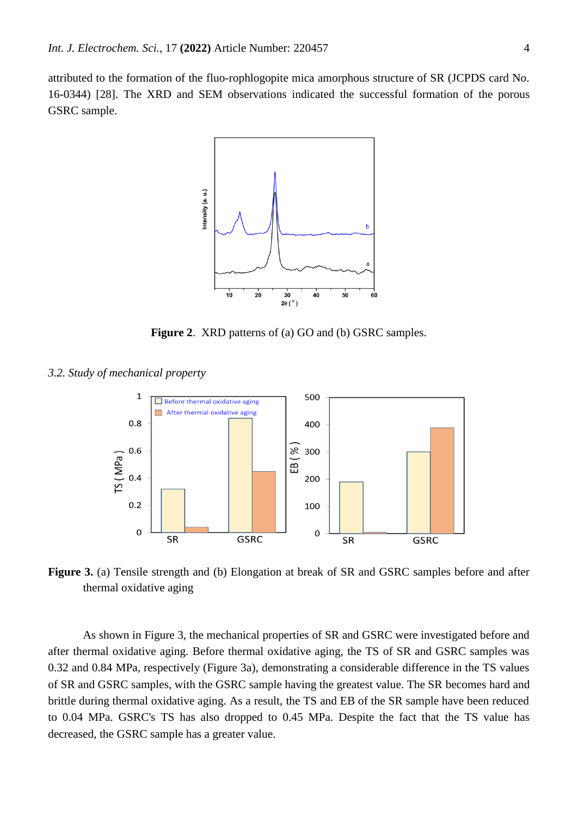attributed to the formation of the fluo-rophlogopite mica amorphous structure of SR (JCPDS card No. 16-0344) [\[28\]](#page-9-4). The XRD and SEM observations indicated the successful formation of the porous GSRC sample.



**Figure 2.** XRD patterns of (a) GO and (b) GSRC samples.

*3.2. Study of mechanical property*



**Figure 3.** (a) Tensile strength and (b) Elongation at break of SR and GSRC samples before and after thermal oxidative aging

As shown in Figure 3, the mechanical properties of SR and GSRC were investigated before and after thermal oxidative aging. Before thermal oxidative aging, the TS of SR and GSRC samples was 0.32 and 0.84 MPa, respectively (Figure 3a), demonstrating a considerable difference in the TS values of SR and GSRC samples, with the GSRC sample having the greatest value. The SR becomes hard and brittle during thermal oxidative aging. As a result, the TS and EB of the SR sample have been reduced to 0.04 MPa. GSRC's TS has also dropped to 0.45 MPa. Despite the fact that the TS value has decreased, the GSRC sample has a greater value.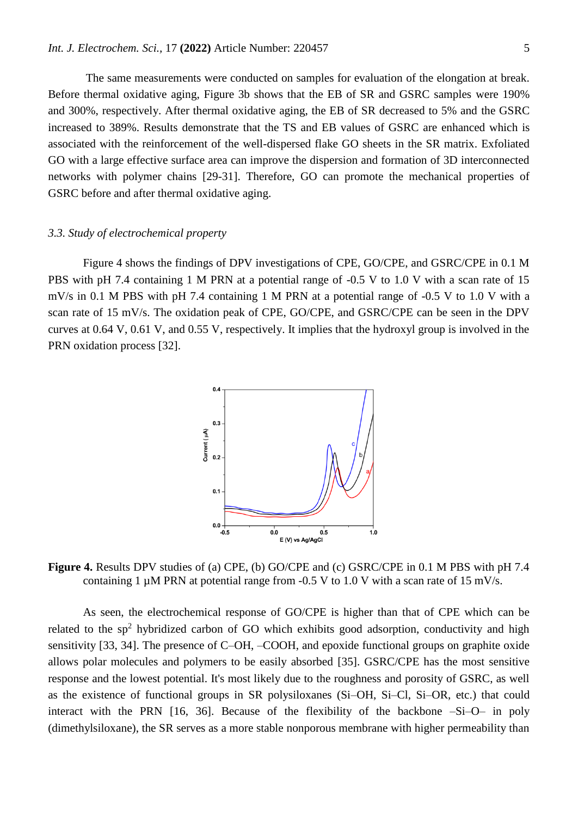The same measurements were conducted on samples for evaluation of the elongation at break. Before thermal oxidative aging, Figure 3b shows that the EB of SR and GSRC samples were 190% and 300%, respectively. After thermal oxidative aging, the EB of SR decreased to 5% and the GSRC increased to 389%. Results demonstrate that the TS and EB values of GSRC are enhanced which is associated with the reinforcement of the well-dispersed flake GO sheets in the SR matrix. Exfoliated GO with a large effective surface area can improve the dispersion and formation of 3D interconnected networks with polymer chains [\[29-31\]](#page-9-5). Therefore, GO can promote the mechanical properties of GSRC before and after thermal oxidative aging.

#### *3.3. Study of electrochemical property*

Figure 4 shows the findings of DPV investigations of CPE, GO/CPE, and GSRC/CPE in 0.1 M PBS with pH 7.4 containing 1 M PRN at a potential range of -0.5 V to 1.0 V with a scan rate of 15 mV/s in 0.1 M PBS with pH 7.4 containing 1 M PRN at a potential range of -0.5 V to 1.0 V with a scan rate of 15 mV/s. The oxidation peak of CPE, GO/CPE, and GSRC/CPE can be seen in the DPV curves at 0.64 V, 0.61 V, and 0.55 V, respectively. It implies that the hydroxyl group is involved in the PRN oxidation process [\[32\]](#page-9-6).



**Figure 4.** Results DPV studies of (a) CPE, (b) GO/CPE and (c) GSRC/CPE in 0.1 M PBS with pH 7.4 containing 1  $\mu$ M PRN at potential range from -0.5 V to 1.0 V with a scan rate of 15 mV/s.

As seen, the electrochemical response of GO/CPE is higher than that of CPE which can be related to the  $sp<sup>2</sup>$  hybridized carbon of GO which exhibits good adsorption, conductivity and high sensitivity [\[33,](#page-9-7) [34\]](#page-9-8). The presence of C–OH, –COOH, and epoxide functional groups on graphite oxide allows polar molecules and polymers to be easily absorbed [\[35\]](#page-9-9). GSRC/CPE has the most sensitive response and the lowest potential. It's most likely due to the roughness and porosity of GSRC, as well as the existence of functional groups in SR polysiloxanes (Si–OH, Si–Cl, Si–OR, etc.) that could interact with the PRN [\[16,](#page-8-14) [36\]](#page-9-10). Because of the flexibility of the backbone –Si–O– in poly (dimethylsiloxane), the SR serves as a more stable nonporous membrane with higher permeability than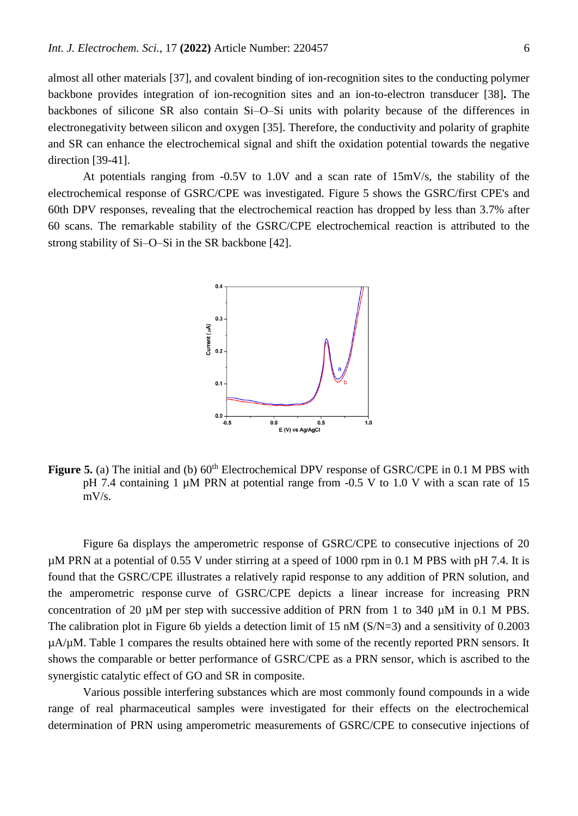almost all other materials [\[37\]](#page-9-11), and covalent binding of ion-recognition sites to the conducting polymer backbone provides integration of ion-recognition sites and an ion-to-electron transducer [\[38\]](#page-9-12)**.** The backbones of silicone SR also contain Si–O–Si units with polarity because of the differences in electronegativity between silicon and oxygen [\[35\]](#page-9-9). Therefore, the conductivity and polarity of graphite and SR can enhance the electrochemical signal and shift the oxidation potential towards the negative direction [\[39-41\]](#page-9-13).

At potentials ranging from -0.5V to 1.0V and a scan rate of 15mV/s, the stability of the electrochemical response of GSRC/CPE was investigated. Figure 5 shows the GSRC/first CPE's and 60th DPV responses, revealing that the electrochemical reaction has dropped by less than 3.7% after 60 scans. The remarkable stability of the GSRC/CPE electrochemical reaction is attributed to the strong stability of Si–O–Si in the SR backbone [\[42\]](#page-9-14).



**Figure 5.** (a) The initial and (b)  $60<sup>th</sup>$  Electrochemical DPV response of GSRC/CPE in 0.1 M PBS with pH 7.4 containing 1  $\mu$ M PRN at potential range from -0.5 V to 1.0 V with a scan rate of 15 mV/s.

Figure 6a displays the amperometric response of GSRC/CPE to consecutive injections of 20 µM PRN at a potential of 0.55 V under stirring at a speed of 1000 rpm in 0.1 M PBS with pH 7.4. It is found that the GSRC/CPE illustrates a relatively rapid response to any addition of PRN solution, and the amperometric response curve of GSRC/CPE depicts a linear increase for increasing PRN concentration of 20  $\mu$ M per step with successive addition of PRN from 1 to 340  $\mu$ M in 0.1 M PBS. The calibration plot in Figure 6b yields a detection limit of 15 nM (S/N=3) and a sensitivity of 0.2003 µA/µM. Table 1 compares the results obtained here with some of the recently reported PRN sensors. It shows the comparable or better performance of GSRC/CPE as a PRN sensor, which is ascribed to the synergistic catalytic effect of GO and SR in composite.

Various possible interfering substances which are most commonly found compounds in a wide range of real pharmaceutical samples were investigated for their effects on the electrochemical determination of PRN using amperometric measurements of GSRC/CPE to consecutive injections of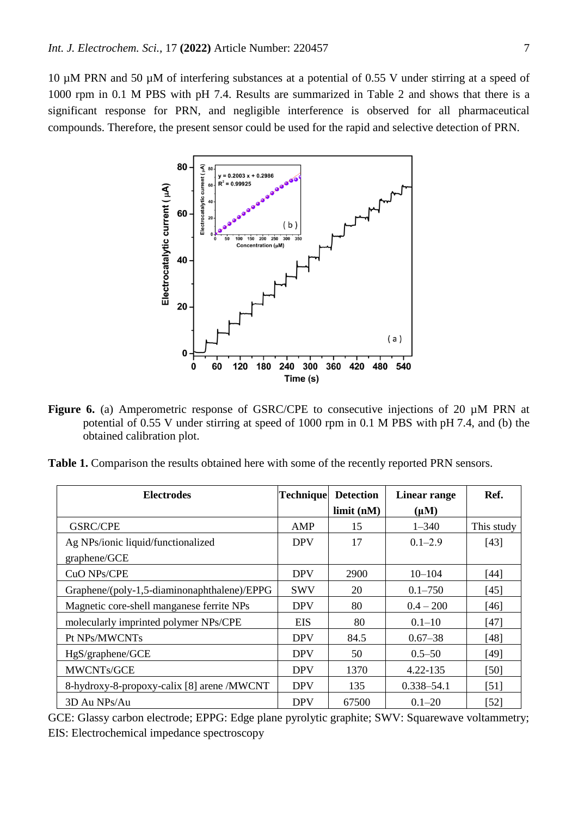10 µM PRN and 50 µM of interfering substances at a potential of 0.55 V under stirring at a speed of 1000 rpm in 0.1 M PBS with pH 7.4. Results are summarized in Table 2 and shows that there is a significant response for PRN, and negligible interference is observed for all pharmaceutical compounds. Therefore, the present sensor could be used for the rapid and selective detection of PRN.



**Figure 6.** (a) Amperometric response of GSRC/CPE to consecutive injections of 20 µM PRN at potential of 0.55 V under stirring at speed of 1000 rpm in 0.1 M PBS with pH 7.4, and (b) the obtained calibration plot.

**Table 1.** Comparison the results obtained here with some of the recently reported PRN sensors.

| <b>Electrodes</b>                           | <b>Technique</b> | <b>Detection</b> | Linear range   | Ref.       |
|---------------------------------------------|------------------|------------------|----------------|------------|
|                                             |                  | limit (nM)       | $(\mu M)$      |            |
| <b>GSRC/CPE</b>                             | AMP              | 15               | $1 - 340$      | This study |
| Ag NPs/ionic liquid/functionalized          | <b>DPV</b>       | 17               | $0.1 - 2.9$    | $[43]$     |
| graphene/GCE                                |                  |                  |                |            |
| CuO NPs/CPE                                 | <b>DPV</b>       | 2900             | $10 - 104$     | [44]       |
| Graphene/(poly-1,5-diaminonaphthalene)/EPPG | <b>SWV</b>       | 20               | $0.1 - 750$    | $[45]$     |
| Magnetic core-shell manganese ferrite NPs   | <b>DPV</b>       | 80               | $0.4 - 200$    | [46]       |
| molecularly imprinted polymer NPs/CPE       | EIS              | 80               | $0.1 - 10$     | $[47]$     |
| Pt NPs/MWCNTs                               | <b>DPV</b>       | 84.5             | $0.67 - 38$    | [48]       |
| HgS/graphene/GCE                            | <b>DPV</b>       | 50               | $0.5 - 50$     | [49]       |
| MWCNTs/GCE                                  | <b>DPV</b>       | 1370             | 4.22-135       | [50]       |
| 8-hydroxy-8-propoxy-calix [8] arene /MWCNT  | <b>DPV</b>       | 135              | $0.338 - 54.1$ | [51]       |
| 3D Au NPs/Au                                | <b>DPV</b>       | 67500            | $0.1 - 20$     | $[52]$     |

GCE: Glassy carbon electrode; EPPG: Edge plane pyrolytic graphite; SWV: Squarewave voltammetry; EIS: Electrochemical impedance spectroscopy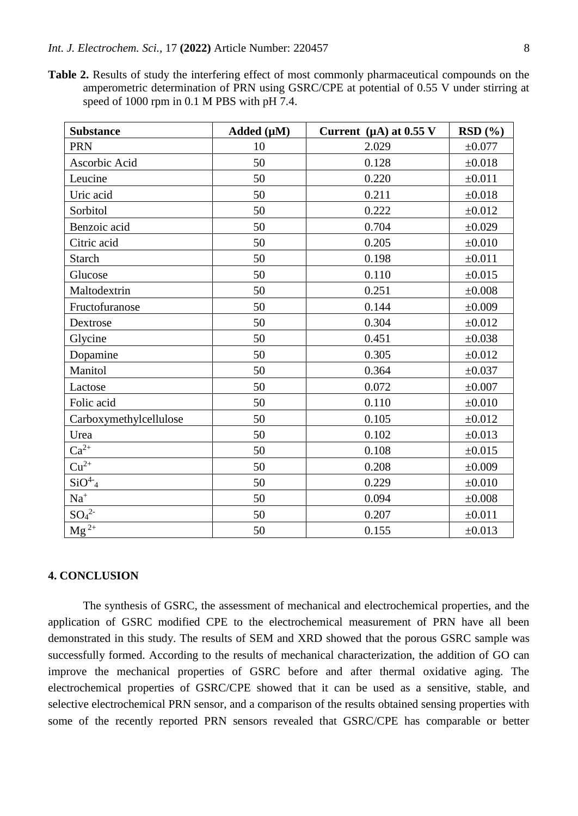**Table 2.** Results of study the interfering effect of most commonly pharmaceutical compounds on the amperometric determination of PRN using GSRC/CPE at potential of 0.55 V under stirring at speed of 1000 rpm in 0.1 M PBS with pH 7.4.

| <b>Substance</b>       | Added (µM) | Current $(\mu A)$ at 0.55 V | RSD(%)      |
|------------------------|------------|-----------------------------|-------------|
| <b>PRN</b>             | 10         | 2.029                       | $\pm 0.077$ |
| Ascorbic Acid          | 50         | 0.128                       | $\pm 0.018$ |
| Leucine                | 50         | 0.220                       | $\pm 0.011$ |
| Uric acid              | 50         | 0.211                       | $\pm 0.018$ |
| Sorbitol               | 50         | 0.222                       | ±0.012      |
| Benzoic acid           | 50         | 0.704                       | ±0.029      |
| Citric acid            | 50         | 0.205                       | $\pm 0.010$ |
| <b>Starch</b>          | 50         | 0.198                       | ±0.011      |
| Glucose                | 50         | 0.110                       | $\pm 0.015$ |
| Maltodextrin           | 50         | 0.251                       | $\pm 0.008$ |
| Fructofuranose         | 50         | 0.144                       | $\pm 0.009$ |
| Dextrose               | 50         | 0.304                       | $\pm 0.012$ |
| Glycine                | 50         | 0.451                       | ±0.038      |
| Dopamine               | 50         | 0.305                       | ±0.012      |
| Manitol                | 50         | 0.364                       | ±0.037      |
| Lactose                | 50         | 0.072                       | $\pm 0.007$ |
| Folic acid             | 50         | 0.110                       | $\pm 0.010$ |
| Carboxymethylcellulose | 50         | 0.105                       | $\pm 0.012$ |
| Urea                   | 50         | 0.102                       | $\pm 0.013$ |
| $Ca^{2+}$              | 50         | 0.108                       | ±0.015      |
| $Cu^{2+}$              | 50         | 0.208                       | $\pm 0.009$ |
| $SiO4-4$               | 50         | 0.229                       | $\pm 0.010$ |
| $\mathrm{Na}^+$        | 50         | 0.094                       | $\pm 0.008$ |
| $SO_4^2$               | 50         | 0.207                       | ±0.011      |
| $Mg^{2+}$              | 50         | 0.155                       | ±0.013      |

# **4. CONCLUSION**

The synthesis of GSRC, the assessment of mechanical and electrochemical properties, and the application of GSRC modified CPE to the electrochemical measurement of PRN have all been demonstrated in this study. The results of SEM and XRD showed that the porous GSRC sample was successfully formed. According to the results of mechanical characterization, the addition of GO can improve the mechanical properties of GSRC before and after thermal oxidative aging. The electrochemical properties of GSRC/CPE showed that it can be used as a sensitive, stable, and selective electrochemical PRN sensor, and a comparison of the results obtained sensing properties with some of the recently reported PRN sensors revealed that GSRC/CPE has comparable or better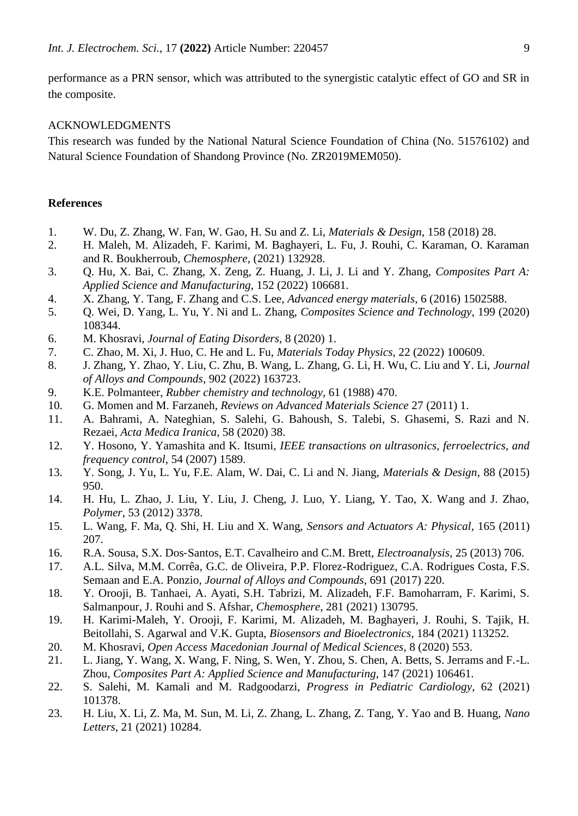performance as a PRN sensor, which was attributed to the synergistic catalytic effect of GO and SR in the composite.

# ACKNOWLEDGMENTS

This research was funded by the National Natural Science Foundation of China (No. 51576102) and Natural Science Foundation of Shandong Province (No. ZR2019MEM050).

#### **References**

- <span id="page-8-0"></span>1. W. Du, Z. Zhang, W. Fan, W. Gao, H. Su and Z. Li, *Materials & Design*, 158 (2018) 28.
- <span id="page-8-1"></span>2. H. Maleh, M. Alizadeh, F. Karimi, M. Baghayeri, L. Fu, J. Rouhi, C. Karaman, O. Karaman and R. Boukherroub, *Chemosphere*, (2021) 132928.
- <span id="page-8-2"></span>3. Q. Hu, X. Bai, C. Zhang, X. Zeng, Z. Huang, J. Li, J. Li and Y. Zhang, *Composites Part A: Applied Science and Manufacturing*, 152 (2022) 106681.
- <span id="page-8-3"></span>4. X. Zhang, Y. Tang, F. Zhang and C.S. Lee, *Advanced energy materials*, 6 (2016) 1502588.
- <span id="page-8-4"></span>5. Q. Wei, D. Yang, L. Yu, Y. Ni and L. Zhang, *Composites Science and Technology*, 199 (2020) 108344.
- <span id="page-8-5"></span>6. M. Khosravi, *Journal of Eating Disorders*, 8 (2020) 1.
- <span id="page-8-6"></span>7. C. Zhao, M. Xi, J. Huo, C. He and L. Fu, *Materials Today Physics*, 22 (2022) 100609.
- <span id="page-8-7"></span>8. J. Zhang, Y. Zhao, Y. Liu, C. Zhu, B. Wang, L. Zhang, G. Li, H. Wu, C. Liu and Y. Li, *Journal of Alloys and Compounds*, 902 (2022) 163723.
- <span id="page-8-8"></span>9. K.E. Polmanteer, *Rubber chemistry and technology*, 61 (1988) 470.
- 10. G. Momen and M. Farzaneh, *Reviews on Advanced Materials Science* 27 (2011) 1.
- 11. A. Bahrami, A. Nateghian, S. Salehi, G. Bahoush, S. Talebi, S. Ghasemi, S. Razi and N. Rezaei, *Acta Medica Iranica*, 58 (2020) 38.
- <span id="page-8-9"></span>12. Y. Hosono, Y. Yamashita and K. Itsumi, *IEEE transactions on ultrasonics, ferroelectrics, and frequency control*, 54 (2007) 1589.
- 13. Y. Song, J. Yu, L. Yu, F.E. Alam, W. Dai, C. Li and N. Jiang, *Materials & Design*, 88 (2015) 950.
- 14. H. Hu, L. Zhao, J. Liu, Y. Liu, J. Cheng, J. Luo, Y. Liang, Y. Tao, X. Wang and J. Zhao, *Polymer*, 53 (2012) 3378.
- 15. L. Wang, F. Ma, Q. Shi, H. Liu and X. Wang, *Sensors and Actuators A: Physical*, 165 (2011) 207.
- <span id="page-8-14"></span>16. R.A. Sousa, S.X. Dos‐Santos, E.T. Cavalheiro and C.M. Brett, *Electroanalysis*, 25 (2013) 706.
- <span id="page-8-13"></span>17. A.L. Silva, M.M. Corrêa, G.C. de Oliveira, P.P. Florez-Rodriguez, C.A. Rodrigues Costa, F.S. Semaan and E.A. Ponzio, *Journal of Alloys and Compounds*, 691 (2017) 220.
- 18. Y. Orooji, B. Tanhaei, A. Ayati, S.H. Tabrizi, M. Alizadeh, F.F. Bamoharram, F. Karimi, S. Salmanpour, J. Rouhi and S. Afshar, *Chemosphere*, 281 (2021) 130795.
- <span id="page-8-10"></span>19. H. Karimi-Maleh, Y. Orooji, F. Karimi, M. Alizadeh, M. Baghayeri, J. Rouhi, S. Tajik, H. Beitollahi, S. Agarwal and V.K. Gupta, *Biosensors and Bioelectronics*, 184 (2021) 113252.
- 20. M. Khosravi, *Open Access Macedonian Journal of Medical Sciences*, 8 (2020) 553.
- 21. L. Jiang, Y. Wang, X. Wang, F. Ning, S. Wen, Y. Zhou, S. Chen, A. Betts, S. Jerrams and F.-L. Zhou, *Composites Part A: Applied Science and Manufacturing*, 147 (2021) 106461.
- <span id="page-8-11"></span>22. S. Salehi, M. Kamali and M. Radgoodarzi, *Progress in Pediatric Cardiology*, 62 (2021) 101378.
- <span id="page-8-12"></span>23. H. Liu, X. Li, Z. Ma, M. Sun, M. Li, Z. Zhang, L. Zhang, Z. Tang, Y. Yao and B. Huang, *Nano Letters*, 21 (2021) 10284.